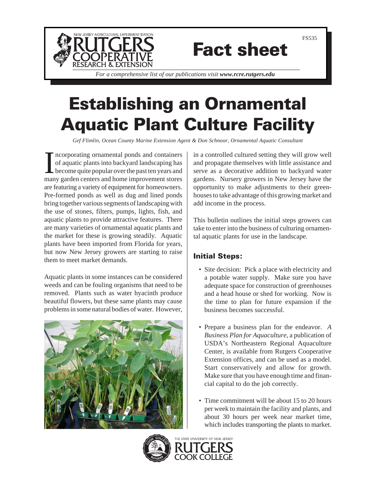

# Fact sheet

*For a comprehensive list of our publications visit www.rcre.rutgers.edu*

## Establishing an Ornamental Aquatic Plant Culture Facility

*Gef Flimlin, Ocean County Marine Extension Agent & Don Schnoor, Ornamental Aquatic Consultant*

Incorporating ornamental ponds and containers<br>of aquatic plants into backyard landscaping has<br>become quite popular over the past ten years and<br>many garden centers and home improvement stores ncorporating ornamental ponds and containers of aquatic plants into backyard landscaping has become quite popular over the past ten years and are featuring a variety of equipment for homeowners. Pre-formed ponds as well as dug and lined ponds bring together various segments of landscaping with the use of stones, filters, pumps, lights, fish, and aquatic plants to provide attractive features. There are many varieties of ornamental aquatic plants and the market for these is growing steadily. Aquatic plants have been imported from Florida for years, but now New Jersey growers are starting to raise them to meet market demands.

Aquatic plants in some instances can be considered weeds and can be fouling organisms that need to be removed. Plants such as water hyacinth produce beautiful flowers, but these same plants may cause problems in some natural bodies of water. However,



in a controlled cultured setting they will grow well and propagate themselves with little assistance and serve as a decorative addition to backyard water gardens. Nursery growers in New Jersey have the opportunity to make adjustments to their greenhouses to take advantage of this growing market and add income in the process.

This bulletin outlines the initial steps growers can take to enter into the business of culturing ornamental aquatic plants for use in the landscape.

### Initial Steps:

- Site decision: Pick a place with electricity and a potable water supply. Make sure you have adequate space for construction of greenhouses and a head house or shed for working. Now is the time to plan for future expansion if the business becomes successful.
- Prepare a business plan for the endeavor. *A Business Plan for Aquaculture*, a publication of USDA's Northeastern Regional Aquaculture Center, is available from Rutgers Cooperative Extension offices, and can be used as a model. Start conservatively and allow for growth. Make sure that you have enough time and financial capital to do the job correctly.
- Time commitment will be about 15 to 20 hours per week to maintain the facility and plants, and about 30 hours per week near market time, which includes transporting the plants to market.

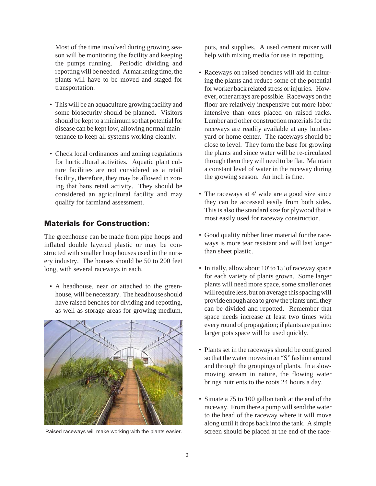Most of the time involved during growing season will be monitoring the facility and keeping the pumps running. Periodic dividing and repotting will be needed. At marketing time, the plants will have to be moved and staged for transportation.

- This will be an aquaculture growing facility and some biosecurity should be planned. Visitors should be kept to a minimum so that potential for disease can be kept low, allowing normal maintenance to keep all systems working cleanly.
- Check local ordinances and zoning regulations for horticultural activities. Aquatic plant culture facilities are not considered as a retail facility, therefore, they may be allowed in zoning that bans retail activity. They should be considered an agricultural facility and may qualify for farmland assessment.

### Materials for Construction:

The greenhouse can be made from pipe hoops and inflated double layered plastic or may be constructed with smaller hoop houses used in the nursery industry. The houses should be 50 to 200 feet long, with several raceways in each.

• A headhouse, near or attached to the greenhouse, will be necessary. The headhouse should have raised benches for dividing and repotting, as well as storage areas for growing medium,



pots, and supplies. A used cement mixer will help with mixing media for use in repotting.

- Raceways on raised benches will aid in culturing the plants and reduce some of the potential for worker back related stress or injuries. However, other arrays are possible. Raceways on the floor are relatively inexpensive but more labor intensive than ones placed on raised racks. Lumber and other construction materials for the raceways are readily available at any lumberyard or home center. The raceways should be close to level. They form the base for growing the plants and since water will be re-circulated through them they will need to be flat. Maintain a constant level of water in the raceway during the growing season. An inch is fine.
- The raceways at 4' wide are a good size since they can be accessed easily from both sides. This is also the standard size for plywood that is most easily used for raceway construction.
- Good quality rubber liner material for the raceways is more tear resistant and will last longer than sheet plastic.
- Initially, allow about 10' to 15' of raceway space for each variety of plants grown. Some larger plants will need more space, some smaller ones will require less, but on average this spacing will provide enough area to grow the plants until they can be divided and repotted. Remember that space needs increase at least two times with every round of propagation; if plants are put into larger pots space will be used quickly.
- Plants set in the raceways should be configured so that the water moves in an "S" fashion around and through the groupings of plants. In a slowmoving stream in nature, the flowing water brings nutrients to the roots 24 hours a day.
- Situate a 75 to 100 gallon tank at the end of the raceway. From there a pump will send the water to the head of the raceway where it will move along until it drops back into the tank. A simple Raised raceways will make working with the plants easier. screen should be placed at the end of the race-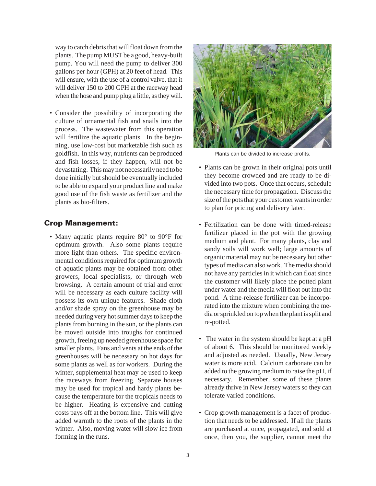way to catch debris that will float down from the plants. The pump MUST be a good, heavy-built pump. You will need the pump to deliver 300 gallons per hour (GPH) at 20 feet of head. This will ensure, with the use of a control valve, that it will deliver 150 to 200 GPH at the raceway head when the hose and pump plug a little, as they will.

• Consider the possibility of incorporating the culture of ornamental fish and snails into the process. The wastewater from this operation will fertilize the aquatic plants. In the beginning, use low-cost but marketable fish such as goldfish. In this way, nutrients can be produced and fish losses, if they happen, will not be devastating. This may not necessarily need to be done initially but should be eventually included to be able to expand your product line and make good use of the fish waste as fertilizer and the plants as bio-filters.

### Crop Management:

• Many aquatic plants require 80° to 90°F for optimum growth. Also some plants require more light than others. The specific environmental conditions required for optimum growth of aquatic plants may be obtained from other growers, local specialists, or through web browsing. A certain amount of trial and error will be necessary as each culture facility will possess its own unique features. Shade cloth and/or shade spray on the greenhouse may be needed during very hot summer days to keep the plants from burning in the sun, or the plants can be moved outside into troughs for continued growth, freeing up needed greenhouse space for smaller plants. Fans and vents at the ends of the greenhouses will be necessary on hot days for some plants as well as for workers. During the winter, supplemental heat may be used to keep the raceways from freezing. Separate houses may be used for tropical and hardy plants because the temperature for the tropicals needs to be higher. Heating is expensive and cutting costs pays off at the bottom line. This will give added warmth to the roots of the plants in the winter. Also, moving water will slow ice from forming in the runs.



Plants can be divided to increase profits.

- Plants can be grown in their original pots until they become crowded and are ready to be divided into two pots. Once that occurs, schedule the necessary time for propagation. Discuss the size of the pots that your customer wants in order to plan for pricing and delivery later.
- Fertilization can be done with timed-release fertilizer placed in the pot with the growing medium and plant. For many plants, clay and sandy soils will work well; large amounts of organic material may not be necessary but other types of media can also work. The media should not have any particles in it which can float since the customer will likely place the potted plant under water and the media will float out into the pond. A time-release fertilizer can be incorporated into the mixture when combining the media or sprinkled on top when the plant is split and re-potted.
- The water in the system should be kept at a pH of about 6. This should be monitored weekly and adjusted as needed. Usually, New Jersey water is more acid. Calcium carbonate can be added to the growing medium to raise the pH, if necessary. Remember, some of these plants already thrive in New Jersey waters so they can tolerate varied conditions.
- Crop growth management is a facet of production that needs to be addressed. If all the plants are purchased at once, propagated, and sold at once, then you, the supplier, cannot meet the